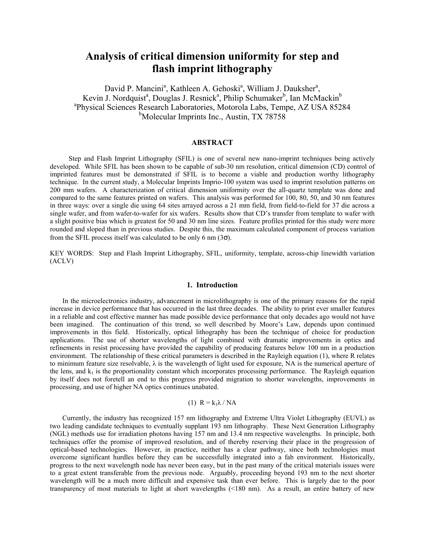# **Analysis of critical dimension uniformity for step and flash imprint lithography**

David P. Mancini<sup>a</sup>, Kathleen A. Gehoski<sup>a</sup>, William J. Dauksher<sup>a</sup>, Kevin J. Nordquist<sup>a</sup>, Douglas J. Resnick<sup>a</sup>, Philip Schumaker<sup>b</sup>, Ian McMackin<sup>b</sup> <sup>a</sup>Physical Sciences Research Laboratories, Motorola Labs, Tempe, AZ USA 85284 <sup>b</sup>Molecular Imprints Inc., Austin, TX 78758

## **ABSTRACT**

Step and Flash Imprint Lithography (SFIL) is one of several new nano-imprint techniques being actively developed. While SFIL has been shown to be capable of sub-30 nm resolution, critical dimension (CD) control of imprinted features must be demonstrated if SFIL is to become a viable and production worthy lithography technique. In the current study, a Molecular Imprints Imprio-100 system was used to imprint resolution patterns on 200 mm wafers. A characterization of critical dimension uniformity over the all-quartz template was done and compared to the same features printed on wafers. This analysis was performed for 100, 80, 50, and 30 nm features in three ways: over a single die using 64 sites arrayed across a 21 mm field, from field-to-field for 37 die across a single wafer, and from wafer-to-wafer for six wafers. Results show that CD's transfer from template to wafer with a slight positive bias which is greatest for 50 and 30 nm line sizes. Feature profiles printed for this study were more rounded and sloped than in previous studies. Despite this, the maximum calculated component of process variation from the SFIL process itself was calculated to be only 6 nm  $(3\sigma)$ .

KEY WORDS: Step and Flash Imprint Lithography, SFIL, uniformity, template, across-chip linewidth variation (ACLV)

#### **1. Introduction**

In the microelectronics industry, advancement in microlithography is one of the primary reasons for the rapid increase in device performance that has occurred in the last three decades. The ability to print ever smaller features in a reliable and cost effective manner has made possible device performance that only decades ago would not have been imagined. The continuation of this trend, so well described by Moore's Law, depends upon continued improvements in this field. Historically, optical lithography has been the technique of choice for production applications. The use of shorter wavelengths of light combined with dramatic improvements in optics and refinements in resist processing have provided the capability of producing features below 100 nm in a production environment. The relationship of these critical parameters is described in the Rayleigh equation (1), where R relates to minimum feature size resolvable,  $\lambda$  is the wavelength of light used for exposure, NA is the numerical aperture of the lens, and  $k_1$  is the proportionality constant which incorporates processing performance. The Rayleigh equation by itself does not foretell an end to this progress provided migration to shorter wavelengths, improvements in processing, and use of higher NA optics continues unabated.

#### (1)  $R = k_1 \lambda / N A$

Currently, the industry has recognized 157 nm lithography and Extreme Ultra Violet Lithography (EUVL) as two leading candidate techniques to eventually supplant 193 nm lithography. These Next Generation Lithography (NGL) methods use for irradiation photons having 157 nm and 13.4 nm respective wavelengths. In principle, both techniques offer the promise of improved resolution, and of thereby reserving their place in the progression of optical-based technologies. However, in practice, neither has a clear pathway, since both technologies must overcome significant hurdles before they can be successfully integrated into a fab environment. Historically, progress to the next wavelength node has never been easy, but in the past many of the critical materials issues were to a great extent transferable from the previous node. Arguably, proceeding beyond 193 nm to the next shorter wavelength will be a much more difficult and expensive task than ever before. This is largely due to the poor transparency of most materials to light at short wavelengths (<180 nm). As a result, an entire battery of new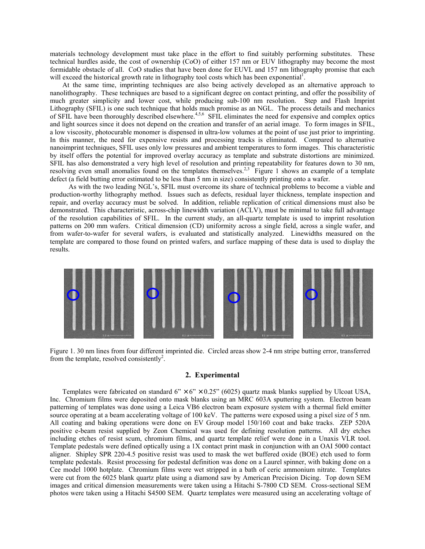materials technology development must take place in the effort to find suitably performing substitutes. These technical hurdles aside, the cost of ownership (CoO) of either 157 nm or EUV lithography may become the most formidable obstacle of all. CoO studies that have been done for EUVL and 157 nm lithography promise that each will exceed the historical growth rate in lithography tool costs which has been exponential<sup>1</sup>.

At the same time, imprinting techniques are also being actively developed as an alternative approach to nanolithography. These techniques are based to a significant degree on contact printing, and offer the possibility of much greater simplicity and lower cost, while producing sub-100 nm resolution. Step and Flash Imprint Lithography (SFIL) is one such technique that holds much promise as an NGL. The process details and mechanics of SFIL have been thoroughly described elsewhere.<sup>4,5,6</sup> SFIL eliminates the need for expensive and complex optics and light sources since it does not depend on the creation and transfer of an aerial image. To form images in SFIL, a low viscosity, photocurable monomer is dispensed in ultra-low volumes at the point of use just prior to imprinting. In this manner, the need for expensive resists and processing tracks is eliminated. Compared to alternative nanoimprint techniques, SFIL uses only low pressures and ambient temperatures to form images. This characteristic by itself offers the potential for improved overlay accuracy as template and substrate distortions are minimized. SFIL has also demonstrated a very high level of resolution and printing repeatability for features down to 30 nm, resolving even small anomalies found on the templates themselves.<sup>2,3</sup> Figure 1 shows an example of a template defect (a field butting error estimated to be less than 5 nm in size) consistently printing onto a wafer.

As with the two leading NGL's, SFIL must overcome its share of technical problems to become a viable and production-worthy lithography method. Issues such as defects, residual layer thickness, template inspection and repair, and overlay accuracy must be solved. In addition, reliable replication of critical dimensions must also be demonstrated. This characteristic, across-chip linewidth variation (ACLV), must be minimal to take full advantage of the resolution capabilities of SFIL. In the current study, an all-quartz template is used to imprint resolution patterns on 200 mm wafers. Critical dimension (CD) uniformity across a single field, across a single wafer, and from wafer-to-wafer for several wafers, is evaluated and statistically analyzed. Linewidths measured on the template are compared to those found on printed wafers, and surface mapping of these data is used to display the results.



Figure 1. 30 nm lines from four different imprinted die. Circled areas show 2-4 nm stripe butting error, transferred from the template, resolved consistently<sup>2</sup>.

#### **2. Experimental**

Templates were fabricated on standard  $6'' \times 6'' \times 0.25''$  (6025) quartz mask blanks supplied by Ulcoat USA, Inc. Chromium films were deposited onto mask blanks using an MRC 603A sputtering system. Electron beam patterning of templates was done using a Leica VB6 electron beam exposure system with a thermal field emitter source operating at a beam accelerating voltage of 100 keV. The patterns were exposed using a pixel size of 5 nm. All coating and baking operations were done on EV Group model 150/160 coat and bake tracks. ZEP 520A positive e-beam resist supplied by Zeon Chemical was used for defining resolution patterns. All dry etches including etches of resist scum, chromium films, and quartz template relief were done in a Unaxis VLR tool. Template pedestals were defined optically using a 1X contact print mask in conjunction with an OAI 5000 contact aligner. Shipley SPR 220-4.5 positive resist was used to mask the wet buffered oxide (BOE) etch used to form template pedestals. Resist processing for pedestal definition was done on a Laurel spinner, with baking done on a Cee model 1000 hotplate. Chromium films were wet stripped in a bath of ceric ammonium nitrate. Templates were cut from the 6025 blank quartz plate using a diamond saw by American Precision Dicing. Top down SEM images and critical dimension measurements were taken using a Hitachi S-7800 CD SEM. Cross-sectional SEM photos were taken using a Hitachi S4500 SEM. Quartz templates were measured using an accelerating voltage of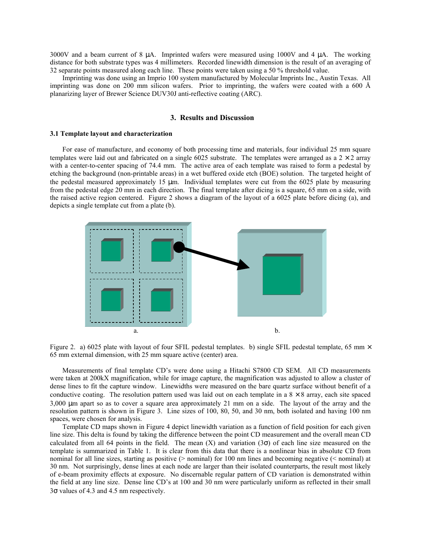3000V and a beam current of 8 µA. Imprinted wafers were measured using 1000V and 4 µA. The working distance for both substrate types was 4 millimeters. Recorded linewidth dimension is the result of an averaging of 32 separate points measured along each line. These points were taken using a 50 % threshold value.

Imprinting was done using an Imprio 100 system manufactured by Molecular Imprints Inc., Austin Texas. All imprinting was done on 200 mm silicon wafers. Prior to imprinting, the wafers were coated with a 600 Å planarizing layer of Brewer Science DUV30J anti-reflective coating (ARC).

## **3. Results and Discussion**

#### **3.1 Template layout and characterization**

For ease of manufacture, and economy of both processing time and materials, four individual 25 mm square templates were laid out and fabricated on a single 6025 substrate. The templates were arranged as a  $2 \times 2$  array with a center-to-center spacing of 74.4 mm. The active area of each template was raised to form a pedestal by etching the background (non-printable areas) in a wet buffered oxide etch (BOE) solution. The targeted height of the pedestal measured approximately 15  $\mu$ m. Individual templates were cut from the 6025 plate by measuring from the pedestal edge 20 mm in each direction. The final template after dicing is a square, 65 mm on a side, with the raised active region centered. Figure 2 shows a diagram of the layout of a 6025 plate before dicing (a), and depicts a single template cut from a plate (b).



Figure 2. a) 6025 plate with layout of four SFIL pedestal templates. b) single SFIL pedestal template, 65 mm  $\times$ 65 mm external dimension, with 25 mm square active (center) area.

Measurements of final template CD's were done using a Hitachi S7800 CD SEM. All CD measurements were taken at 200kX magnification, while for image capture, the magnification was adjusted to allow a cluster of dense lines to fit the capture window. Linewidths were measured on the bare quartz surface without benefit of a conductive coating. The resolution pattern used was laid out on each template in a  $8 \times 8$  array, each site spaced 3,000 µm apart so as to cover a square area approximately 21 mm on a side. The layout of the array and the resolution pattern is shown in Figure 3. Line sizes of 100, 80, 50, and 30 nm, both isolated and having 100 nm spaces, were chosen for analysis.

Template CD maps shown in Figure 4 depict linewidth variation as a function of field position for each given line size. This delta is found by taking the difference between the point CD measurement and the overall mean CD calculated from all 64 points in the field. The mean  $(X)$  and variation  $(3\sigma)$  of each line size measured on the template is summarized in Table 1. It is clear from this data that there is a nonlinear bias in absolute CD from nominal for all line sizes, starting as positive (> nominal) for 100 nm lines and becoming negative (< nominal) at 30 nm. Not surprisingly, dense lines at each node are larger than their isolated counterparts, the result most likely of e-beam proximity effects at exposure. No discernable regular pattern of CD variation is demonstrated within the field at any line size. Dense line CD's at 100 and 30 nm were particularly uniform as reflected in their small 3σ values of 4.3 and 4.5 nm respectively.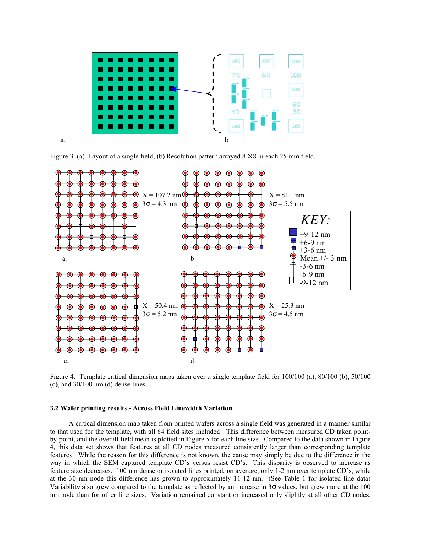

Figure 3. (a) Layout of a single field, (b) Resolution pattern arrayed  $8 \times 8$  in each 25 mm field.



Figure 4. Template critical dimension maps taken over a single template field for 100/100 (a), 80/100 (b), 50/100 (c), and 30/100 nm (d) dense lines.

### **3.2 Wafer printing results - Across Field Linewidth Variation**

A critical dimension map taken from printed wafers across a single field was generated in a manner similar to that used for the template, with all 64 field sites included. This difference between measured CD taken pointby-point, and the overall field mean is plotted in Figure 5 for each line size. Compared to the data shown in Figure 4, this data set shows that features at all CD nodes measured consistently larger than corresponding template features. While the reason for this difference is not known, the cause may simply be due to the difference in the way in which the SEM captured template CD's versus resist CD's. This disparity is observed to increase as feature size decreases. 100 nm dense or isolated lines printed, on average, only 1-2 nm over template CD's, while at the 30 nm node this difference has grown to approximately 11-12 nm. (See Table 1 for isolated line data) Variability also grew compared to the template as reflected by an increase in  $3\sigma$  values, but grew more at the 100 nm node than for other line sizes. Variation remained constant or increased only slightly at all other CD nodes.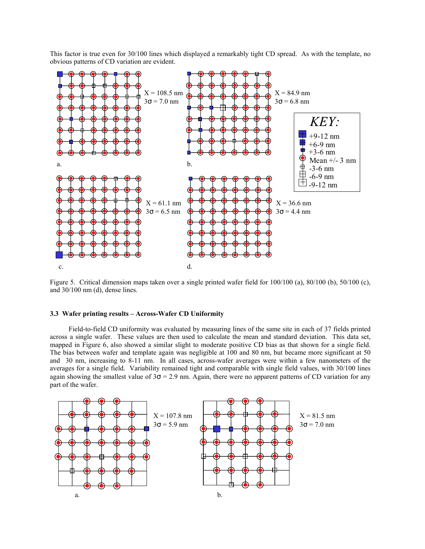

This factor is true even for 30/100 lines which displayed a remarkably tight CD spread. As with the template, no obvious patterns of CD variation are evident.

Figure 5. Critical dimension maps taken over a single printed wafer field for  $100/100$  (a),  $80/100$  (b),  $50/100$  (c), and 30/100 nm (d), dense lines.

## **3.3 Wafer printing results – Across-Wafer CD Uniformity**

 Field-to-field CD uniformity was evaluated by measuring lines of the same site in each of 37 fields printed across a single wafer. These values are then used to calculate the mean and standard deviation. This data set, mapped in Figure 6, also showed a similar slight to moderate positive CD bias as that shown for a single field. The bias between wafer and template again was negligible at 100 and 80 nm, but became more significant at 50 and 30 nm, increasing to 8-11 nm. In all cases, across-wafer averages were within a few nanometers of the averages for a single field. Variability remained tight and comparable with single field values, with 30/100 lines again showing the smallest value of  $3\sigma = 2.9$  nm. Again, there were no apparent patterns of CD variation for any part of the wafer.

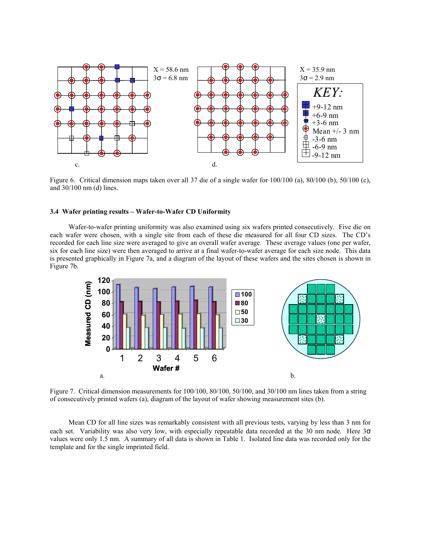

Figure 6. Critical dimension maps taken over all 37 die of a single wafer for 100/100 (a), 80/100 (b), 50/100 (c), and 30/100 nm (d) lines.

## **3.4 Wafer printing results – Wafer-to-Wafer CD Uniformity**

Wafer-to-wafer printing uniformity was also examined using six wafers printed consecutively. Five die on each wafer were chosen, with a single site from each of these die measured for all four CD sizes. The CD's recorded for each line size were averaged to give an overall wafer average. These average values (one per wafer, six for each line size) were then averaged to arrive at a final wafer-to-wafer average for each size node. This data is presented graphically in Figure 7a, and a diagram of the layout of these wafers and the sites chosen is shown in Figure 7b.



Figure 7. Critical dimension measurements for 100/100, 80/100, 50/100, and 30/100 nm lines taken from a string of consecutively printed wafers (a), diagram of the layout of wafer showing measurement sites (b).

Mean CD for all line sizes was remarkably consistent with all previous tests, varying by less than 3 nm for each set. Variability was also very low, with especially repeatable data recorded at the 30 nm node. Here 3σ values were only 1.5 nm. A summary of all data is shown in Table 1. Isolated line data was recorded only for the template and for the single imprinted field.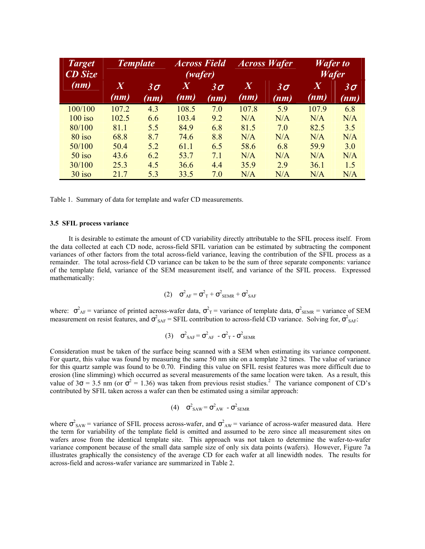| <b>Target</b><br><b>CD</b> Size | <b>Template</b>        |                   | <b>Across Field</b><br>(wafer) |                   | <b>Across Wafer</b> |                   | <b>Wafer</b> to<br><b>Wafer</b> |                   |
|---------------------------------|------------------------|-------------------|--------------------------------|-------------------|---------------------|-------------------|---------------------------------|-------------------|
| (nm)                            | $\overline{X}$<br>(nm) | $3\sigma$<br>(nm) | $\boldsymbol{X}$<br>(nm)       | $3\sigma$<br>(nm) | $\bm{X}$<br>(nm)    | $3\sigma$<br>(nm) | X<br>(nm)                       | $3\sigma$<br>(nm) |
| 100/100                         | 107.2                  | 4.3               | 108.5                          | 7.0               | 107.8               | 5.9               | 107.9                           | 6.8               |
| $100$ iso                       | 102.5                  | 6.6               | 103.4                          | 9.2               | N/A                 | N/A               | N/A                             | N/A               |
| 80/100                          | 81.1                   | 5.5               | 84.9                           | 6.8               | 81.5                | 7.0               | 82.5                            | 3.5               |
| $80$ iso                        | 68.8                   | 8.7               | 74.6                           | 8.8               | N/A                 | N/A               | N/A                             | N/A               |
| 50/100                          | 50.4                   | 5.2               | 61.1                           | 6.5               | 58.6                | 6.8               | 59.9                            | 3.0               |
| $50$ iso                        | 43.6                   | 6.2               | 53.7                           | 7.1               | N/A                 | N/A               | N/A                             | N/A               |
| 30/100                          | 25.3                   | 4.5               | 36.6                           | 4.4               | 35.9                | 2.9               | 36.1                            | 1.5               |
| $30$ iso                        | 21.7                   | 5.3               | 33.5                           | 7.0               | N/A                 | N/A               | N/A                             | N/A               |

Table 1. Summary of data for template and wafer CD measurements.

#### **3.5 SFIL process variance**

 It is desirable to estimate the amount of CD variability directly attributable to the SFIL process itself. From the data collected at each CD node, across-field SFIL variation can be estimated by subtracting the component variances of other factors from the total across-field variance, leaving the contribution of the SFIL process as a remainder. The total across-field CD variance can be taken to be the sum of three separate components: variance of the template field, variance of the SEM measurement itself, and variance of the SFIL process. Expressed mathematically:

$$
(2) \quad \sigma_{AF}^2 = \sigma_{T}^2 + \sigma_{SEMR}^2 + \sigma_{SAF}^2
$$

where:  $\sigma_{AF}^2$  = variance of printed across-wafer data,  $\sigma_T^2$  = variance of template data,  $\sigma_{SEMR}^2$  = variance of SEM measurement on resist features, and  $\sigma_{SAF}^2 = SFIL$  contribution to across-field CD variance. Solving for,  $\sigma_{SAF}^2$ :

$$
(3) \quad \sigma_{SAF}^2 = \sigma_{AF}^2 - \sigma_{T}^2 - \sigma_{SEMR}^2
$$

Consideration must be taken of the surface being scanned with a SEM when estimating its variance component. For quartz, this value was found by measuring the same 50 nm site on a template 32 times. The value of variance for this quartz sample was found to be 0.70. Finding this value on SFIL resist features was more difficult due to erosion (line slimming) which occurred as several measurements of the same location were taken. As a result, this value of  $3\sigma = 3.5$  nm (or  $\sigma^2 = 1.36$ ) was taken from previous resist studies.<sup>2</sup> The variance component of CD's contributed by SFIL taken across a wafer can then be estimated using a similar approach:

(4) 
$$
\sigma^2_{SAW} = \sigma^2_{AW} - \sigma^2_{SEMR}
$$

where  $\sigma_{SAW}^2$  = variance of SFIL process across-wafer, and  $\sigma_{AW}^2$  = variance of across-wafer measured data. Here the term for variability of the template field is omitted and assumed to be zero since all measurement sites on wafers arose from the identical template site. This approach was not taken to determine the wafer-to-wafer variance component because of the small data sample size of only six data points (wafers). However, Figure 7a illustrates graphically the consistency of the average CD for each wafer at all linewidth nodes. The results for across-field and across-wafer variance are summarized in Table 2.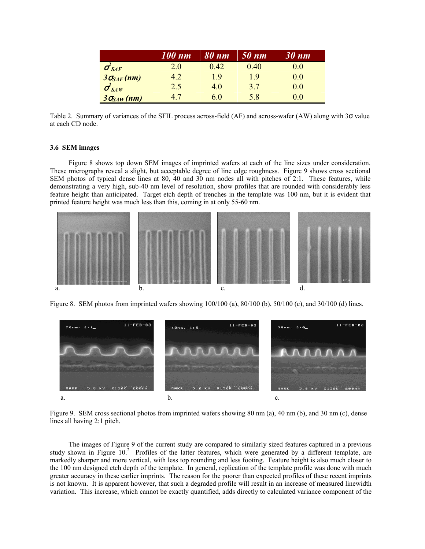|                         | 100 nm | 80 nm | 50 nm | 30 nm |
|-------------------------|--------|-------|-------|-------|
| $\sigma_{\textit{SAF}}$ | 2.0    | 0.42  | 0.40  | 0.0   |
| $3\sigma_{SAF}(nm)$     | 4.2    | 19    | 19    | 0.0   |
| $\sigma_{SAW}^2$        | 2.5    | 4.0   | 37    | 0.0   |
| $3\sigma_{SAW}(nm)$     | 47     | 6.0   | 5.8   | 0.0   |

Table 2. Summary of variances of the SFIL process across-field (AF) and across-wafer (AW) along with 3σ value at each CD node.

#### **3.6 SEM images**

Figure 8 shows top down SEM images of imprinted wafers at each of the line sizes under consideration. These micrographs reveal a slight, but acceptable degree of line edge roughness. Figure 9 shows cross sectional SEM photos of typical dense lines at 80, 40 and 30 nm nodes all with pitches of 2:1. These features, while demonstrating a very high, sub-40 nm level of resolution, show profiles that are rounded with considerably less feature height than anticipated. Target etch depth of trenches in the template was 100 nm, but it is evident that printed feature height was much less than this, coming in at only 55-60 nm.



Figure 8. SEM photos from imprinted wafers showing 100/100 (a), 80/100 (b), 50/100 (c), and 30/100 (d) lines.



Figure 9. SEM cross sectional photos from imprinted wafers showing 80 nm (a), 40 nm (b), and 30 nm (c), dense lines all having 2:1 pitch.

The images of Figure 9 of the current study are compared to similarly sized features captured in a previous study shown in Figure 10.<sup>2</sup> Profiles of the latter features, which were generated by a different template, are markedly sharper and more vertical, with less top rounding and less footing. Feature height is also much closer to the 100 nm designed etch depth of the template. In general, replication of the template profile was done with much greater accuracy in these earlier imprints. The reason for the poorer than expected profiles of these recent imprints is not known. It is apparent however, that such a degraded profile will result in an increase of measured linewidth variation. This increase, which cannot be exactly quantified, adds directly to calculated variance component of the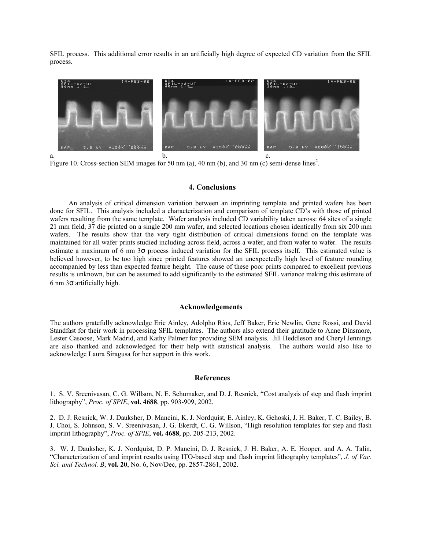SFIL process. This additional error results in an artificially high degree of expected CD variation from the SFIL process.



Figure 10. Cross-section SEM images for 50 nm (a), 40 nm (b), and 30 nm (c) semi-dense lines<sup>2</sup>.

## **4. Conclusions**

An analysis of critical dimension variation between an imprinting template and printed wafers has been done for SFIL. This analysis included a characterization and comparison of template CD's with those of printed wafers resulting from the same template. Wafer analysis included CD variability taken across: 64 sites of a single 21 mm field, 37 die printed on a single 200 mm wafer, and selected locations chosen identically from six 200 mm wafers. The results show that the very tight distribution of critical dimensions found on the template was maintained for all wafer prints studied including across field, across a wafer, and from wafer to wafer. The results estimate a maximum of 6 nm 3σ process induced variation for the SFIL process itself. This estimated value is believed however, to be too high since printed features showed an unexpectedly high level of feature rounding accompanied by less than expected feature height. The cause of these poor prints compared to excellent previous results is unknown, but can be assumed to add significantly to the estimated SFIL variance making this estimate of 6 nm  $3\sigma$  artificially high.

#### **Acknowledgements**

The authors gratefully acknowledge Eric Ainley, Adolpho Rios, Jeff Baker, Eric Newlin, Gene Rossi, and David Standfast for their work in processing SFIL templates. The authors also extend their gratitude to Anne Dinsmore, Lester Casoose, Mark Madrid, and Kathy Palmer for providing SEM analysis. Jill Heddleson and Cheryl Jennings are also thanked and acknowledged for their help with statistical analysis. The authors would also like to acknowledge Laura Siragusa for her support in this work.

#### **References**

1. S. V. Sreenivasan, C. G. Willson, N. E. Schumaker, and D. J. Resnick, "Cost analysis of step and flash imprint lithography", *Proc. of SPIE*, **vol. 4688**, pp. 903-909, 2002.

2. D. J. Resnick, W. J. Dauksher, D. Mancini, K. J. Nordquist, E. Ainley, K. Gehoski, J. H. Baker, T. C. Bailey, B. J. Choi, S. Johnson, S. V. Sreenivasan, J. G. Ekerdt, C. G. Willson, "High resolution templates for step and flash imprint lithography", *Proc. of SPIE*, **vol. 4688**, pp. 205-213, 2002.

3. W. J. Dauksher, K. J. Nordquist, D. P. Mancini, D. J. Resnick, J. H. Baker, A. E. Hooper, and A. A. Talin, "Characterization of and imprint results using ITO-based step and flash imprint lithography templates", *J. of Vac. Sci. and Technol. B*, **vol. 20**, No. 6, Nov/Dec, pp. 2857-2861, 2002.